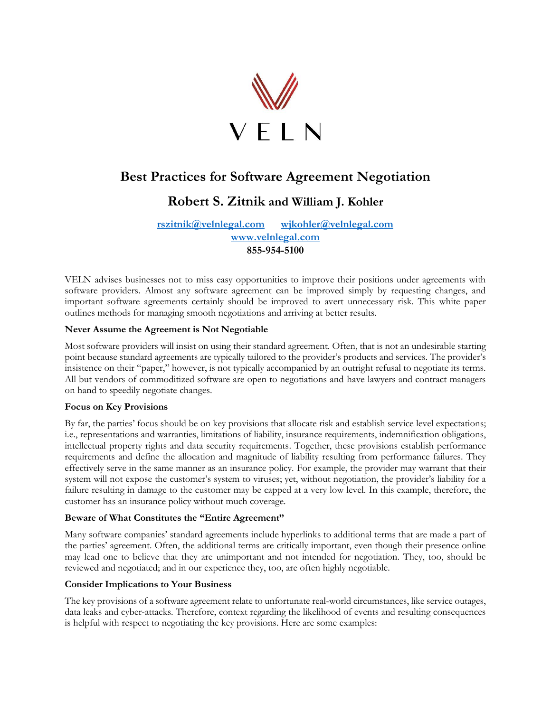

# **Best Practices for Software Agreement Negotiation**

## **Robert S. Zitnik and William J. Kohler**

### **[rszitnik@velnlegal.com](mailto:rszitnik@velnlegal.com) [wjkohler@velnlegal.com](mailto:wjkohler@velnlegal.com) [www.velnlegal.com](http://www.velnlegal.com/) 855-954-5100**

VELN advises businesses not to miss easy opportunities to improve their positions under agreements with software providers. Almost any software agreement can be improved simply by requesting changes, and important software agreements certainly should be improved to avert unnecessary risk. This white paper outlines methods for managing smooth negotiations and arriving at better results.

### **Never Assume the Agreement is Not Negotiable**

Most software providers will insist on using their standard agreement. Often, that is not an undesirable starting point because standard agreements are typically tailored to the provider's products and services. The provider's insistence on their "paper," however, is not typically accompanied by an outright refusal to negotiate its terms. All but vendors of commoditized software are open to negotiations and have lawyers and contract managers on hand to speedily negotiate changes.

#### **Focus on Key Provisions**

By far, the parties' focus should be on key provisions that allocate risk and establish service level expectations; i.e., representations and warranties, limitations of liability, insurance requirements, indemnification obligations, intellectual property rights and data security requirements. Together, these provisions establish performance requirements and define the allocation and magnitude of liability resulting from performance failures. They effectively serve in the same manner as an insurance policy. For example, the provider may warrant that their system will not expose the customer's system to viruses; yet, without negotiation, the provider's liability for a failure resulting in damage to the customer may be capped at a very low level. In this example, therefore, the customer has an insurance policy without much coverage.

### **Beware of What Constitutes the "Entire Agreement"**

Many software companies' standard agreements include hyperlinks to additional terms that are made a part of the parties' agreement. Often, the additional terms are critically important, even though their presence online may lead one to believe that they are unimportant and not intended for negotiation. They, too, should be reviewed and negotiated; and in our experience they, too, are often highly negotiable.

#### **Consider Implications to Your Business**

The key provisions of a software agreement relate to unfortunate real-world circumstances, like service outages, data leaks and cyber-attacks. Therefore, context regarding the likelihood of events and resulting consequences is helpful with respect to negotiating the key provisions. Here are some examples: